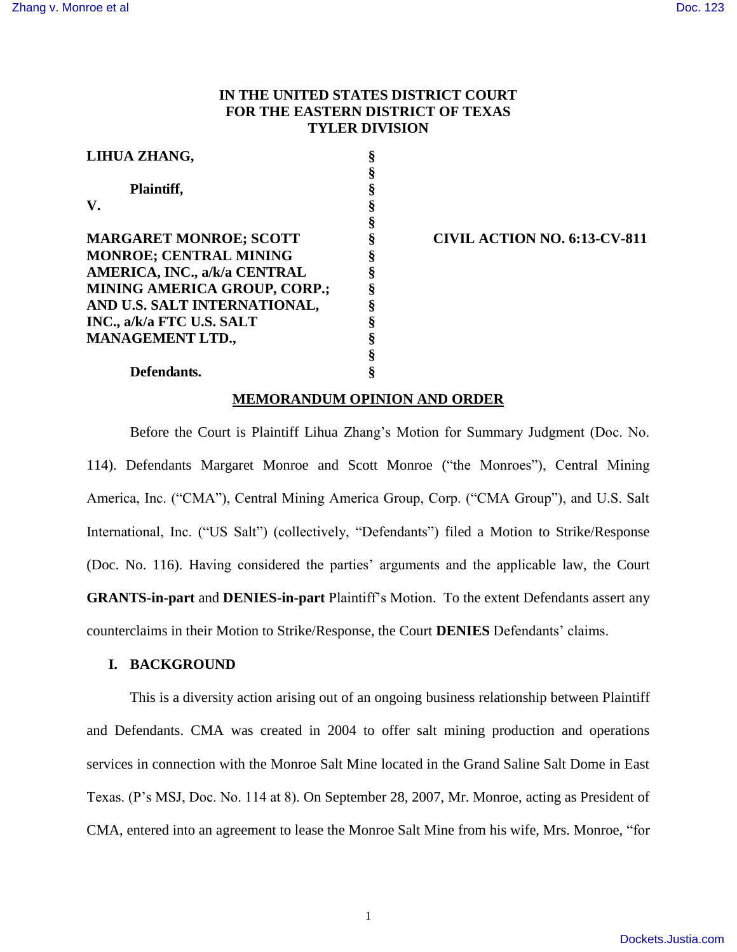# **IN THE UNITED STATES DISTRICT COURT FOR THE EASTERN DISTRICT OF TEXAS TYLER DIVISION**

| LIHUA ZHANG,                        | § |
|-------------------------------------|---|
|                                     |   |
| Plaintiff,                          |   |
| ${\bf V}$ .                         | § |
|                                     | § |
| <b>MARGARET MONROE; SCOTT</b>       | § |
| <b>MONROE; CENTRAL MINING</b>       | § |
| AMERICA, INC., a/k/a CENTRAL        | § |
| <b>MINING AMERICA GROUP, CORP.;</b> | ş |
| AND U.S. SALT INTERNATIONAL,        | 8 |
| INC., a/k/a FTC U.S. SALT           | § |
| <b>MANAGEMENT LTD.,</b>             | § |
|                                     |   |

## **CIVIL ACTION NO. 6:13-CV-811**

### **Defendants. §**

## **MEMORANDUM OPINION AND ORDER**

Before the Court is Plaintiff Lihua Zhang's Motion for Summary Judgment (Doc. No. 114). Defendants Margaret Monroe and Scott Monroe ("the Monroes"), Central Mining America, Inc. ("CMA"), Central Mining America Group, Corp. ("CMA Group"), and U.S. Salt International, Inc. ("US Salt") (collectively, "Defendants") filed a Motion to Strike/Response (Doc. No. 116). Having considered the parties' arguments and the applicable law, the Court **GRANTS-in-part** and **DENIES-in-part** Plaintiff's Motion. To the extent Defendants assert any counterclaims in their Motion to Strike/Response, the Court **DENIES** Defendants' claims.

#### **I. BACKGROUND**

This is a diversity action arising out of an ongoing business relationship between Plaintiff and Defendants. CMA was created in 2004 to offer salt mining production and operations services in connection with the Monroe Salt Mine located in the Grand Saline Salt Dome in East Texas. (P's MSJ, Doc. No. 114 at 8). On September 28, 2007, Mr. Monroe, acting as President of CMA, entered into an agreement to lease the Monroe Salt Mine from his wife, Mrs. Monroe, "for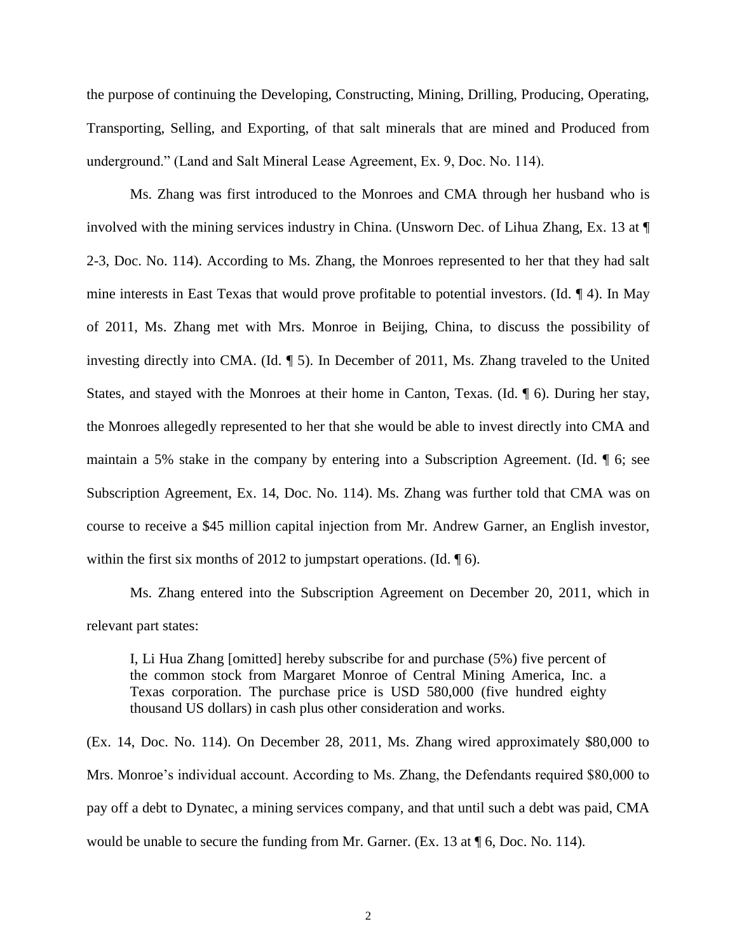the purpose of continuing the Developing, Constructing, Mining, Drilling, Producing, Operating, Transporting, Selling, and Exporting, of that salt minerals that are mined and Produced from underground." (Land and Salt Mineral Lease Agreement, Ex. 9, Doc. No. 114).

Ms. Zhang was first introduced to the Monroes and CMA through her husband who is involved with the mining services industry in China. (Unsworn Dec. of Lihua Zhang, Ex. 13 at ¶ 2-3, Doc. No. 114). According to Ms. Zhang, the Monroes represented to her that they had salt mine interests in East Texas that would prove profitable to potential investors. (Id. ¶ 4). In May of 2011, Ms. Zhang met with Mrs. Monroe in Beijing, China, to discuss the possibility of investing directly into CMA. (Id. ¶ 5). In December of 2011, Ms. Zhang traveled to the United States, and stayed with the Monroes at their home in Canton, Texas. (Id. ¶ 6). During her stay, the Monroes allegedly represented to her that she would be able to invest directly into CMA and maintain a 5% stake in the company by entering into a Subscription Agreement. (Id. ¶ 6; see Subscription Agreement, Ex. 14, Doc. No. 114). Ms. Zhang was further told that CMA was on course to receive a \$45 million capital injection from Mr. Andrew Garner, an English investor, within the first six months of 2012 to jumpstart operations. (Id.  $\llbracket 6$ ).

Ms. Zhang entered into the Subscription Agreement on December 20, 2011, which in relevant part states:

I, Li Hua Zhang [omitted] hereby subscribe for and purchase (5%) five percent of the common stock from Margaret Monroe of Central Mining America, Inc. a Texas corporation. The purchase price is USD 580,000 (five hundred eighty thousand US dollars) in cash plus other consideration and works.

(Ex. 14, Doc. No. 114). On December 28, 2011, Ms. Zhang wired approximately \$80,000 to Mrs. Monroe's individual account. According to Ms. Zhang, the Defendants required \$80,000 to pay off a debt to Dynatec, a mining services company, and that until such a debt was paid, CMA would be unable to secure the funding from Mr. Garner. (Ex. 13 at  $\parallel$  6, Doc. No. 114).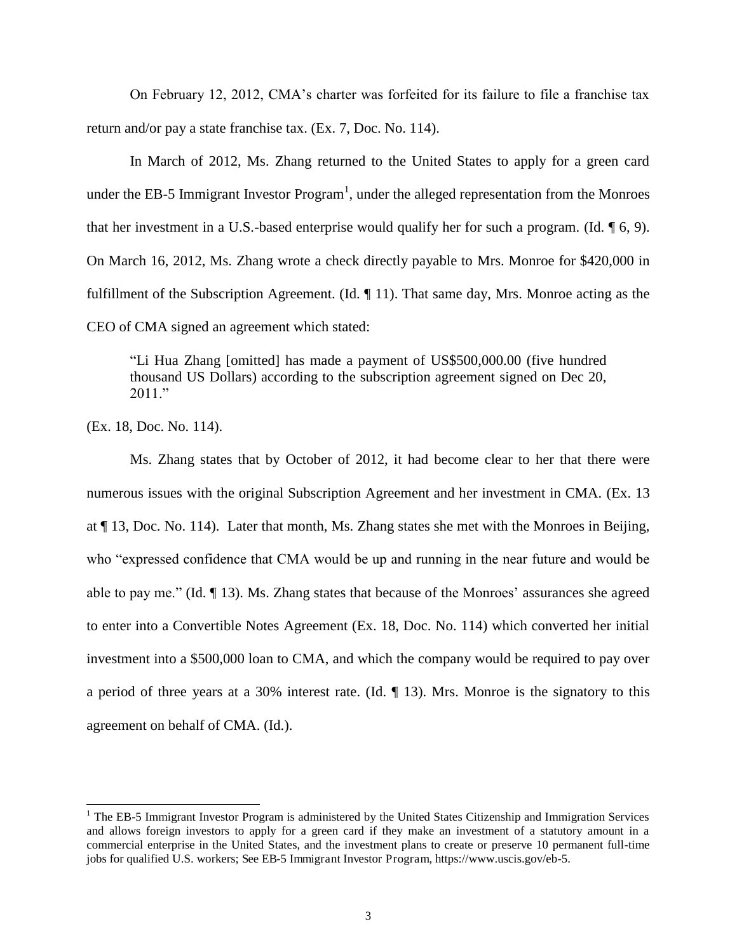On February 12, 2012, CMA's charter was forfeited for its failure to file a franchise tax return and/or pay a state franchise tax. (Ex. 7, Doc. No. 114).

In March of 2012, Ms. Zhang returned to the United States to apply for a green card under the EB-5 Immigrant Investor Program<sup>1</sup>, under the alleged representation from the Monroes that her investment in a U.S.-based enterprise would qualify her for such a program. (Id. ¶ 6, 9). On March 16, 2012, Ms. Zhang wrote a check directly payable to Mrs. Monroe for \$420,000 in fulfillment of the Subscription Agreement. (Id. ¶ 11). That same day, Mrs. Monroe acting as the CEO of CMA signed an agreement which stated:

"Li Hua Zhang [omitted] has made a payment of US\$500,000.00 (five hundred thousand US Dollars) according to the subscription agreement signed on Dec 20, 2011."

(Ex. 18, Doc. No. 114).

Ms. Zhang states that by October of 2012, it had become clear to her that there were numerous issues with the original Subscription Agreement and her investment in CMA. (Ex. 13 at ¶ 13, Doc. No. 114). Later that month, Ms. Zhang states she met with the Monroes in Beijing, who "expressed confidence that CMA would be up and running in the near future and would be able to pay me." (Id. ¶ 13). Ms. Zhang states that because of the Monroes' assurances she agreed to enter into a Convertible Notes Agreement (Ex. 18, Doc. No. 114) which converted her initial investment into a \$500,000 loan to CMA, and which the company would be required to pay over a period of three years at a 30% interest rate. (Id.  $\P$  13). Mrs. Monroe is the signatory to this agreement on behalf of CMA. (Id.).

<sup>&</sup>lt;sup>1</sup> The EB-5 Immigrant Investor Program is administered by the United States Citizenship and Immigration Services and allows foreign investors to apply for a green card if they make an investment of a statutory amount in a commercial enterprise in the United States, and the investment plans to create or preserve 10 permanent full-time jobs for qualified U.S. workers; See EB-5 Immigrant Investor Program, https://www.uscis.gov/eb-5.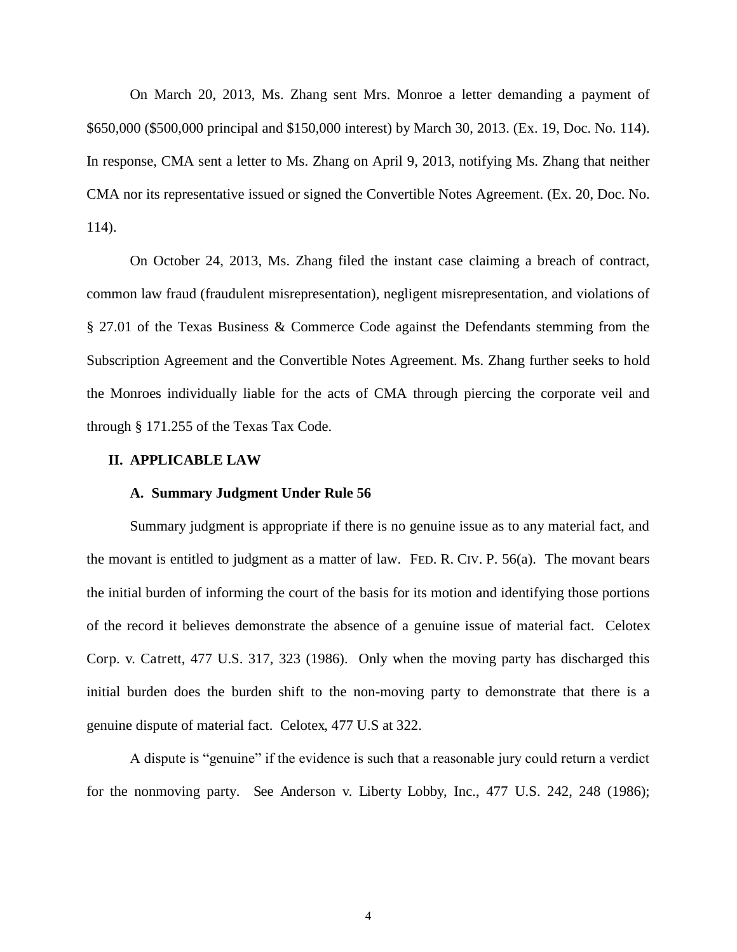On March 20, 2013, Ms. Zhang sent Mrs. Monroe a letter demanding a payment of \$650,000 (\$500,000 principal and \$150,000 interest) by March 30, 2013. (Ex. 19, Doc. No. 114). In response, CMA sent a letter to Ms. Zhang on April 9, 2013, notifying Ms. Zhang that neither CMA nor its representative issued or signed the Convertible Notes Agreement. (Ex. 20, Doc. No. 114).

On October 24, 2013, Ms. Zhang filed the instant case claiming a breach of contract, common law fraud (fraudulent misrepresentation), negligent misrepresentation, and violations of § 27.01 of the Texas Business & Commerce Code against the Defendants stemming from the Subscription Agreement and the Convertible Notes Agreement. Ms. Zhang further seeks to hold the Monroes individually liable for the acts of CMA through piercing the corporate veil and through § 171.255 of the Texas Tax Code.

#### **II. APPLICABLE LAW**

#### **A. Summary Judgment Under Rule 56**

Summary judgment is appropriate if there is no genuine issue as to any material fact, and the movant is entitled to judgment as a matter of law. FED. R. CIV. P. 56(a). The movant bears the initial burden of informing the court of the basis for its motion and identifying those portions of the record it believes demonstrate the absence of a genuine issue of material fact. Celotex Corp. v. Catrett, 477 U.S. 317, 323 (1986). Only when the moving party has discharged this initial burden does the burden shift to the non-moving party to demonstrate that there is a genuine dispute of material fact. Celotex, 477 U.S at 322.

A dispute is "genuine" if the evidence is such that a reasonable jury could return a verdict for the nonmoving party. See Anderson v. Liberty Lobby, Inc., 477 U.S. 242, 248 (1986);

4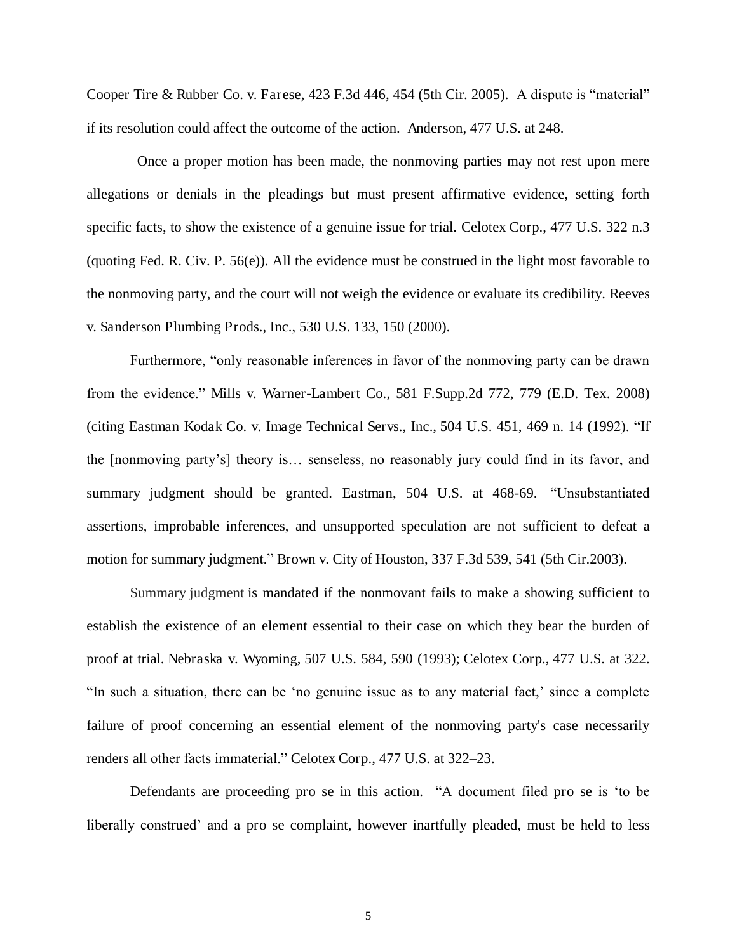Cooper Tire & Rubber Co. v. Farese, 423 F.3d 446, 454 (5th Cir. 2005). A dispute is "material" if its resolution could affect the outcome of the action. Anderson, 477 U.S. at 248.

 Once a proper motion has been made, the nonmoving parties may not rest upon mere allegations or denials in the pleadings but must present affirmative evidence, setting forth specific facts, to show the existence of a genuine issue for trial. Celotex Corp., 477 U.S. 322 n.3 (quoting Fed. R. Civ. P. 56(e)). All the evidence must be construed in the light most favorable to the nonmoving party, and the court will not weigh the evidence or evaluate its credibility. Reeves v. Sanderson Plumbing Prods., Inc., 530 U.S. 133, 150 (2000).

Furthermore, "only reasonable inferences in favor of the nonmoving party can be drawn from the evidence." Mills v. Warner-Lambert Co., 581 F.Supp.2d 772, 779 (E.D. Tex. 2008) (citing [Eastman Kodak Co. v. Image Technical Servs., Inc., 504 U.S. 451, 469 n. 14](https://1.next.westlaw.com/Link/Document/FullText?findType=Y&serNum=1992102832&pubNum=0000708&originatingDoc=I8e4d4cc3950211e2a555d241dae65084&refType=RP&originationContext=document&transitionType=DocumentItem&contextData=(sc.Search)) (1992). "If the [nonmoving party's] theory is… senseless, no reasonably jury could find in its favor, and summary judgment should be granted. Eastman, 504 U.S. at 468-69. "Unsubstantiated assertions, improbable inferences, and unsupported speculation are not sufficient to defeat a motion for summary judgment." [Brown v. City of Houston, 337 F.3d 539, 541 \(5th Cir.2003\).](https://1.next.westlaw.com/Link/Document/FullText?findType=Y&serNum=2003469315&pubNum=0000506&originatingDoc=I8e4d4cc3950211e2a555d241dae65084&refType=RP&fi=co_pp_sp_506_541&originationContext=document&transitionType=DocumentItem&contextData=(sc.Search)#co_pp_sp_506_541)

Summary judgment is mandated if the nonmovant fails to make a showing sufficient to establish the existence of an element essential to their case on which they bear the burden of proof at trial. [Nebraska v. Wyoming, 507 U.S. 584, 590](https://1.next.westlaw.com/Link/Document/FullText?findType=Y&serNum=1993088138&pubNum=0000708&originatingDoc=I8e4d4cc3950211e2a555d241dae65084&refType=RP&originationContext=document&transitionType=DocumentItem&contextData=(sc.Search)) (1993); [Celotex Corp., 477 U.S. at 322.](https://1.next.westlaw.com/Link/Document/FullText?findType=Y&serNum=1986132677&pubNum=780&originatingDoc=I8e4d4cc3950211e2a555d241dae65084&refType=RP&fi=co_pp_sp_780_322&originationContext=document&transitionType=DocumentItem&contextData=(sc.Search)#co_pp_sp_780_322) "In such a situation, there can be 'no genuine issue as to any material fact,' since a complete failure of proof concerning an essential element of the nonmoving party's case necessarily renders all other facts immaterial." [Celotex Corp., 477 U.S. at 322](https://1.next.westlaw.com/Link/Document/FullText?findType=Y&serNum=1986132677&pubNum=0000780&originatingDoc=I8e4d4cc3950211e2a555d241dae65084&refType=RP&fi=co_pp_sp_780_322&originationContext=document&transitionType=DocumentItem&contextData=(sc.Search)#co_pp_sp_780_322)–23.

Defendants are proceeding pro se in this action. "A document filed pro se is 'to be liberally construed' and a pro se complaint, however inartfully pleaded, must be held to less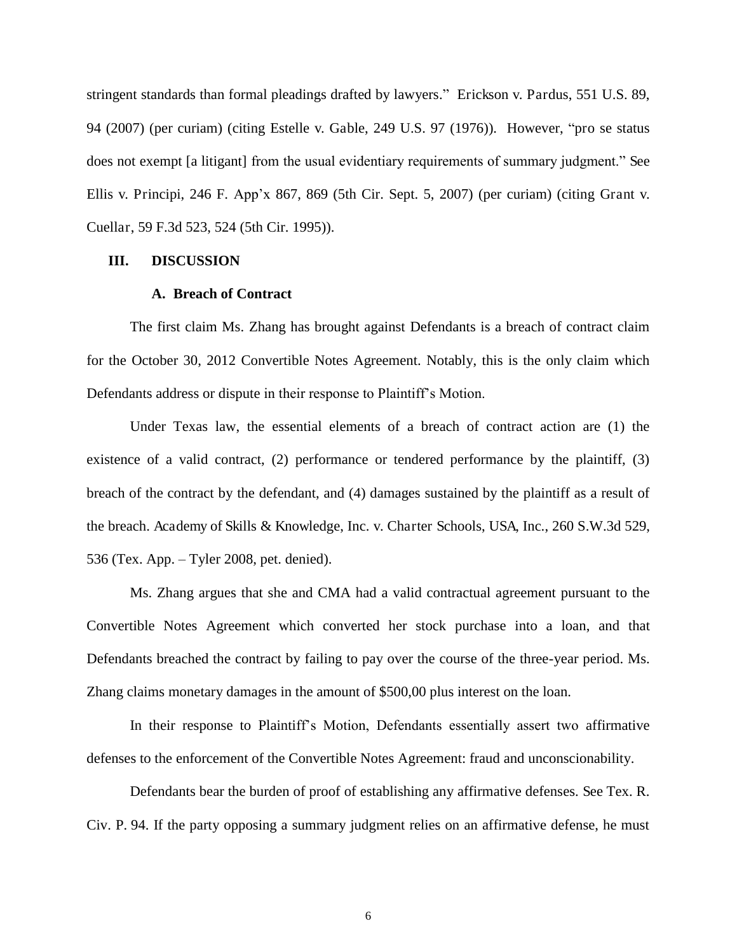stringent standards than formal pleadings drafted by lawyers." Erickson v. Pardus, 551 U.S. 89, 94 (2007) (per curiam) (citing Estelle v. Gable, 249 U.S. 97 (1976)). However, "pro se status does not exempt [a litigant] from the usual evidentiary requirements of summary judgment." See Ellis v. Principi, 246 F. App'x 867, 869 (5th Cir. Sept. 5, 2007) (per curiam) (citing Grant v. Cuellar, 59 F.3d 523, 524 (5th Cir. 1995)).

## **III. DISCUSSION**

## **A. Breach of Contract**

The first claim Ms. Zhang has brought against Defendants is a breach of contract claim for the October 30, 2012 Convertible Notes Agreement. Notably, this is the only claim which Defendants address or dispute in their response to Plaintiff's Motion.

Under Texas law, the essential elements of a breach of contract action are (1) the existence of a valid contract, (2) performance or tendered performance by the plaintiff, (3) breach of the contract by the defendant, and (4) damages sustained by the plaintiff as a result of the breach. Academy of Skills & Knowledge, Inc. v. Charter Schools, USA, Inc., 260 S.W.3d 529, 536 (Tex. App. – Tyler 2008, pet. denied).

Ms. Zhang argues that she and CMA had a valid contractual agreement pursuant to the Convertible Notes Agreement which converted her stock purchase into a loan, and that Defendants breached the contract by failing to pay over the course of the three-year period. Ms. Zhang claims monetary damages in the amount of \$500,00 plus interest on the loan.

In their response to Plaintiff's Motion, Defendants essentially assert two affirmative defenses to the enforcement of the Convertible Notes Agreement: fraud and unconscionability.

Defendants bear the burden of proof of establishing any affirmative defenses. See [Tex. R.](https://1.next.westlaw.com/Link/Document/FullText?findType=L&pubNum=1003817&cite=TXRRCPR94&originatingDoc=Iafc7b77a604b11e089b3e4fa6356f33d&refType=LQ&originationContext=document&transitionType=DocumentItem&contextData=(sc.Search))  [Civ. P. 94.](https://1.next.westlaw.com/Link/Document/FullText?findType=L&pubNum=1003817&cite=TXRRCPR94&originatingDoc=Iafc7b77a604b11e089b3e4fa6356f33d&refType=LQ&originationContext=document&transitionType=DocumentItem&contextData=(sc.Search)) If the party opposing a summary judgment relies on an affirmative defense, he must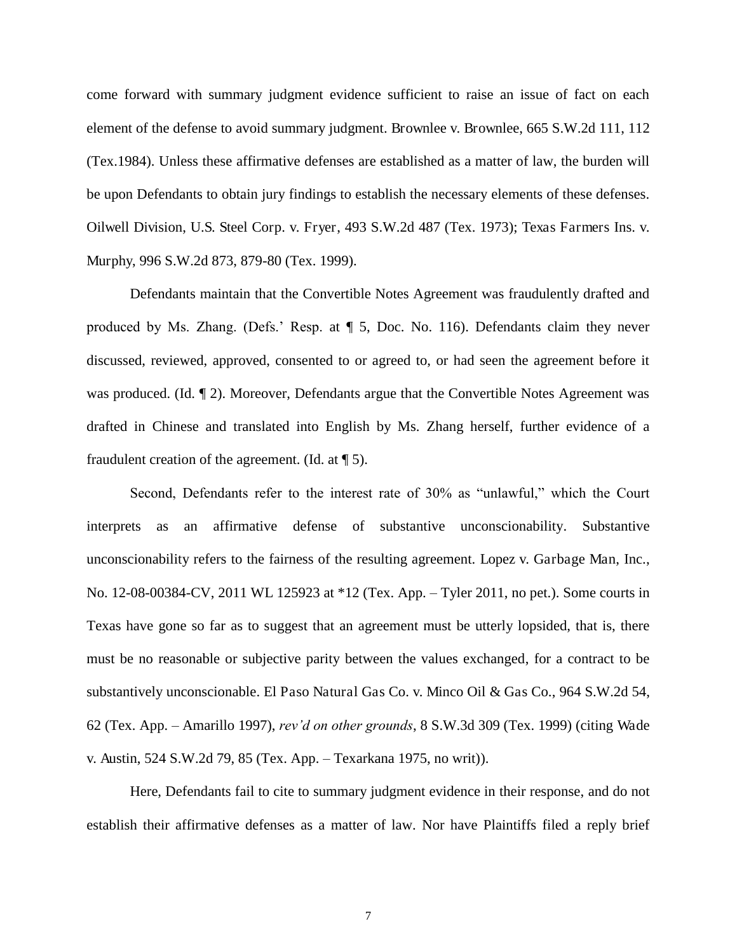come forward with summary judgment evidence sufficient to raise an issue of fact on each element of the defense to avoid summary judgment. [Brownlee v. Brownlee, 665 S.W.2d 111, 112](https://1.next.westlaw.com/Link/Document/FullText?findType=Y&serNum=1984111857&pubNum=0000713&originatingDoc=Iafc7b77a604b11e089b3e4fa6356f33d&refType=RP&fi=co_pp_sp_713_112&originationContext=document&transitionType=DocumentItem&contextData=(sc.Search)#co_pp_sp_713_112)  [\(Tex.1984\).](https://1.next.westlaw.com/Link/Document/FullText?findType=Y&serNum=1984111857&pubNum=0000713&originatingDoc=Iafc7b77a604b11e089b3e4fa6356f33d&refType=RP&fi=co_pp_sp_713_112&originationContext=document&transitionType=DocumentItem&contextData=(sc.Search)#co_pp_sp_713_112) Unless these affirmative defenses are established as a matter of law, the burden will be upon Defendants to obtain jury findings to establish the necessary elements of these defenses. Oilwell Division, U.S. Steel Corp. v. Fryer, 493 S.W.2d 487 (Tex. 1973); Texas Farmers Ins. v. Murphy, 996 S.W.2d 873, 879-80 (Tex. 1999).

Defendants maintain that the Convertible Notes Agreement was fraudulently drafted and produced by Ms. Zhang. (Defs.' Resp. at ¶ 5, Doc. No. 116). Defendants claim they never discussed, reviewed, approved, consented to or agreed to, or had seen the agreement before it was produced. (Id.  $\P$  2). Moreover, Defendants argue that the Convertible Notes Agreement was drafted in Chinese and translated into English by Ms. Zhang herself, further evidence of a fraudulent creation of the agreement. (Id. at  $\P$  5).

Second, Defendants refer to the interest rate of 30% as "unlawful," which the Court interprets as an affirmative defense of substantive unconscionability. Substantive unconscionability refers to the fairness of the resulting agreement. Lopez v. Garbage Man, Inc., No. 12-08-00384-CV, 2011 WL 125923 at \*12 (Tex. App. – Tyler 2011, no pet.). Some courts in Texas have gone so far as to suggest that an agreement must be utterly lopsided, that is, there must be no reasonable or subjective parity between the values exchanged, for a contract to be substantively unconscionable. El Paso Natural Gas Co. v. Minco Oil & Gas Co., 964 S.W.2d 54, 62 (Tex. App. – Amarillo 1997), *rev'd on other grounds*, 8 S.W.3d 309 (Tex. 1999) (citing Wade v. Austin, 524 S.W.2d 79, 85 (Tex. App. – Texarkana 1975, no writ)).

Here, Defendants fail to cite to summary judgment evidence in their response, and do not establish their affirmative defenses as a matter of law. Nor have Plaintiffs filed a reply brief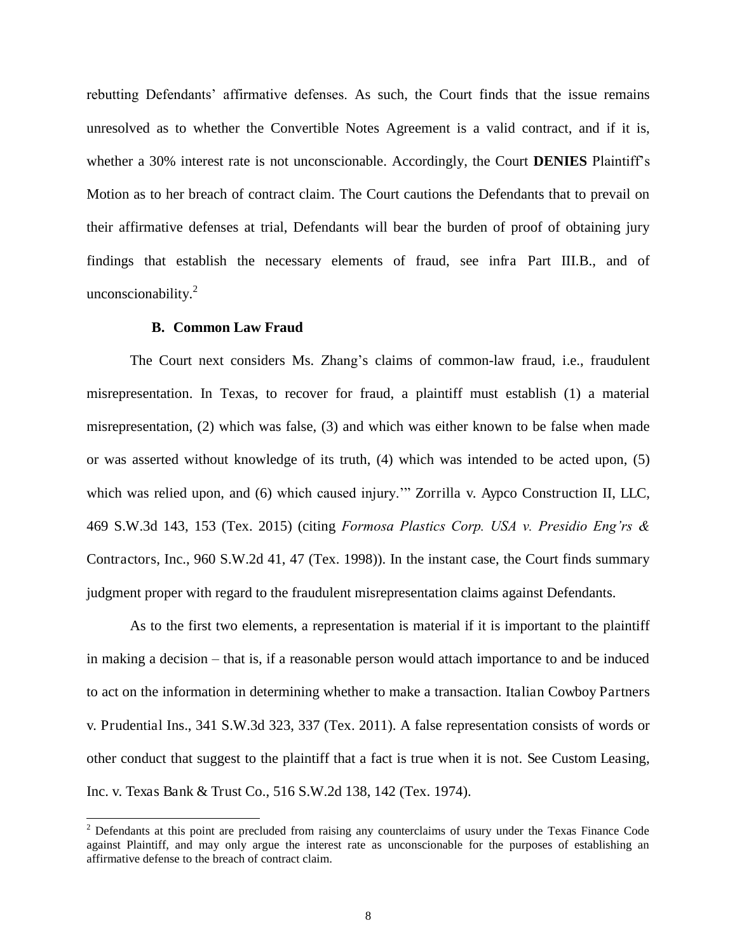rebutting Defendants' affirmative defenses. As such, the Court finds that the issue remains unresolved as to whether the Convertible Notes Agreement is a valid contract, and if it is, whether a 30% interest rate is not unconscionable. Accordingly, the Court **DENIES** Plaintiff's Motion as to her breach of contract claim. The Court cautions the Defendants that to prevail on their affirmative defenses at trial, Defendants will bear the burden of proof of obtaining jury findings that establish the necessary elements of fraud, see infra Part III.B., and of unconscionability.<sup>2</sup>

## **B. Common Law Fraud**

 $\overline{a}$ 

The Court next considers Ms. Zhang's claims of common-law fraud, i.e., fraudulent misrepresentation. In Texas, to recover for fraud, a plaintiff must establish (1) a material misrepresentation, (2) which was false, (3) and which was either known to be false when made or was asserted without knowledge of its truth, (4) which was intended to be acted upon, (5) which was relied upon, and (6) which caused injury."" Zorrilla v. Aypco Construction II, LLC, 469 S.W.3d 143, 153 (Tex. 2015) (citing *Formosa Plastics Corp. USA v. Presidio Eng'rs &*  Contractors, Inc., 960 S.W.2d 41, 47 (Tex. 1998)). In the instant case, the Court finds summary judgment proper with regard to the fraudulent misrepresentation claims against Defendants.

As to the first two elements, a representation is material if it is important to the plaintiff in making a decision – that is, if a reasonable person would attach importance to and be induced to act on the information in determining whether to make a transaction. Italian Cowboy Partners v. Prudential Ins., 341 S.W.3d 323, 337 (Tex. 2011). A false representation consists of words or other conduct that suggest to the plaintiff that a fact is true when it is not. See Custom Leasing, Inc. v. Texas Bank & Trust Co., 516 S.W.2d 138, 142 (Tex. 1974).

<sup>&</sup>lt;sup>2</sup> Defendants at this point are precluded from raising any counterclaims of usury under the Texas Finance Code against Plaintiff, and may only argue the interest rate as unconscionable for the purposes of establishing an affirmative defense to the breach of contract claim.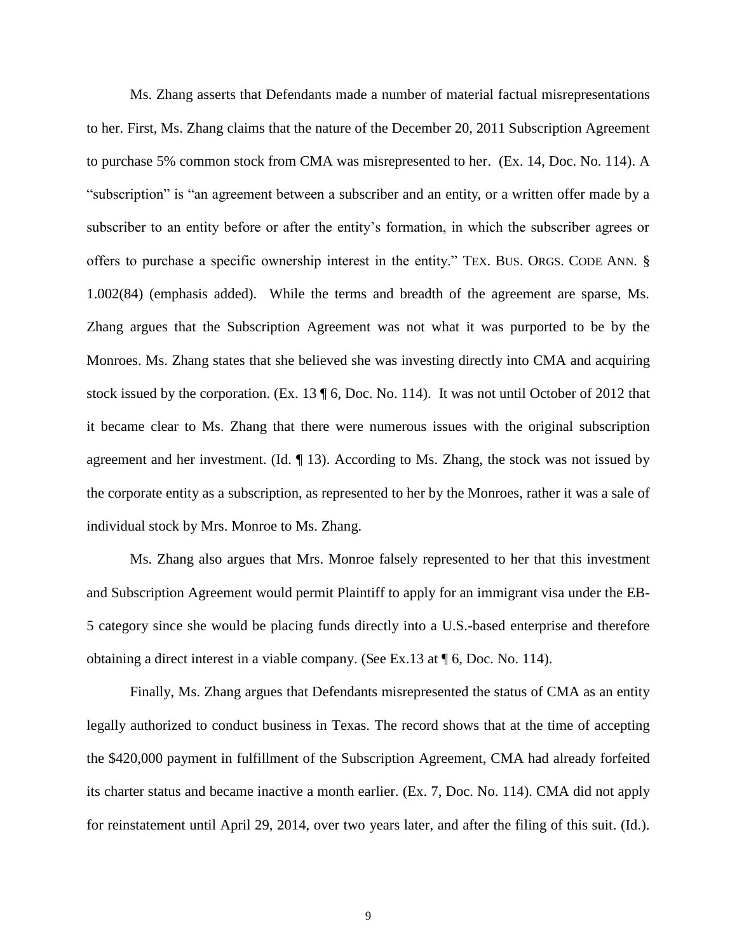Ms. Zhang asserts that Defendants made a number of material factual misrepresentations to her. First, Ms. Zhang claims that the nature of the December 20, 2011 Subscription Agreement to purchase 5% common stock from CMA was misrepresented to her. (Ex. 14, Doc. No. 114). A "subscription" is "an agreement between a subscriber and an entity, or a written offer made by a subscriber to an entity before or after the entity's formation, in which the subscriber agrees or offers to purchase a specific ownership interest in the entity." TEX. BUS. ORGS. CODE ANN. § 1.002(84) (emphasis added). While the terms and breadth of the agreement are sparse, Ms. Zhang argues that the Subscription Agreement was not what it was purported to be by the Monroes. Ms. Zhang states that she believed she was investing directly into CMA and acquiring stock issued by the corporation. (Ex. 13 ¶ 6, Doc. No. 114). It was not until October of 2012 that it became clear to Ms. Zhang that there were numerous issues with the original subscription agreement and her investment. (Id.  $\P$  13). According to Ms. Zhang, the stock was not issued by the corporate entity as a subscription, as represented to her by the Monroes, rather it was a sale of individual stock by Mrs. Monroe to Ms. Zhang.

Ms. Zhang also argues that Mrs. Monroe falsely represented to her that this investment and Subscription Agreement would permit Plaintiff to apply for an immigrant visa under the EB-5 category since she would be placing funds directly into a U.S.-based enterprise and therefore obtaining a direct interest in a viable company. (See Ex.13 at ¶ 6, Doc. No. 114).

Finally, Ms. Zhang argues that Defendants misrepresented the status of CMA as an entity legally authorized to conduct business in Texas. The record shows that at the time of accepting the \$420,000 payment in fulfillment of the Subscription Agreement, CMA had already forfeited its charter status and became inactive a month earlier. (Ex. 7, Doc. No. 114). CMA did not apply for reinstatement until April 29, 2014, over two years later, and after the filing of this suit. (Id.).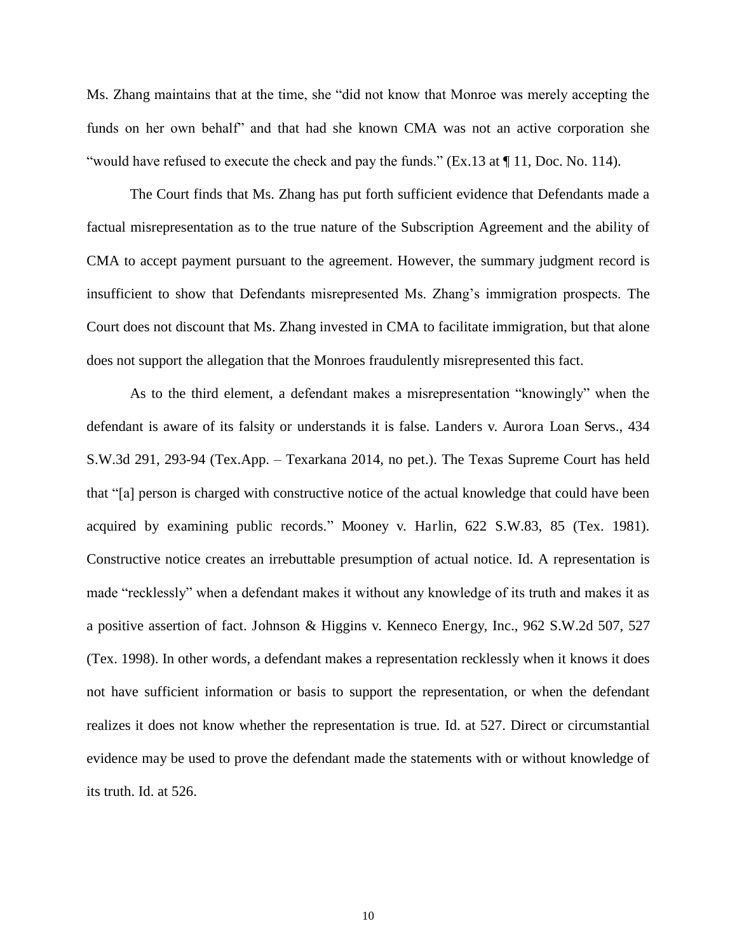Ms. Zhang maintains that at the time, she "did not know that Monroe was merely accepting the funds on her own behalf" and that had she known CMA was not an active corporation she "would have refused to execute the check and pay the funds." (Ex.13 at ¶ 11, Doc. No. 114).

The Court finds that Ms. Zhang has put forth sufficient evidence that Defendants made a factual misrepresentation as to the true nature of the Subscription Agreement and the ability of CMA to accept payment pursuant to the agreement. However, the summary judgment record is insufficient to show that Defendants misrepresented Ms. Zhang's immigration prospects. The Court does not discount that Ms. Zhang invested in CMA to facilitate immigration, but that alone does not support the allegation that the Monroes fraudulently misrepresented this fact.

As to the third element, a defendant makes a misrepresentation "knowingly" when the defendant is aware of its falsity or understands it is false. Landers v. Aurora Loan Servs., 434 S.W.3d 291, 293-94 (Tex.App. – Texarkana 2014, no pet.). The Texas Supreme Court has held that "[a] person is charged with constructive notice of the actual knowledge that could have been acquired by examining public records." Mooney v. Harlin, 622 S.W.83, 85 (Tex. 1981). Constructive notice creates an irrebuttable presumption of actual notice. Id. A representation is made "recklessly" when a defendant makes it without any knowledge of its truth and makes it as a positive assertion of fact. Johnson & Higgins v. Kenneco Energy, Inc., 962 S.W.2d 507, 527 (Tex. 1998). In other words, a defendant makes a representation recklessly when it knows it does not have sufficient information or basis to support the representation, or when the defendant realizes it does not know whether the representation is true. Id. at 527. Direct or circumstantial evidence may be used to prove the defendant made the statements with or without knowledge of its truth. Id. at 526.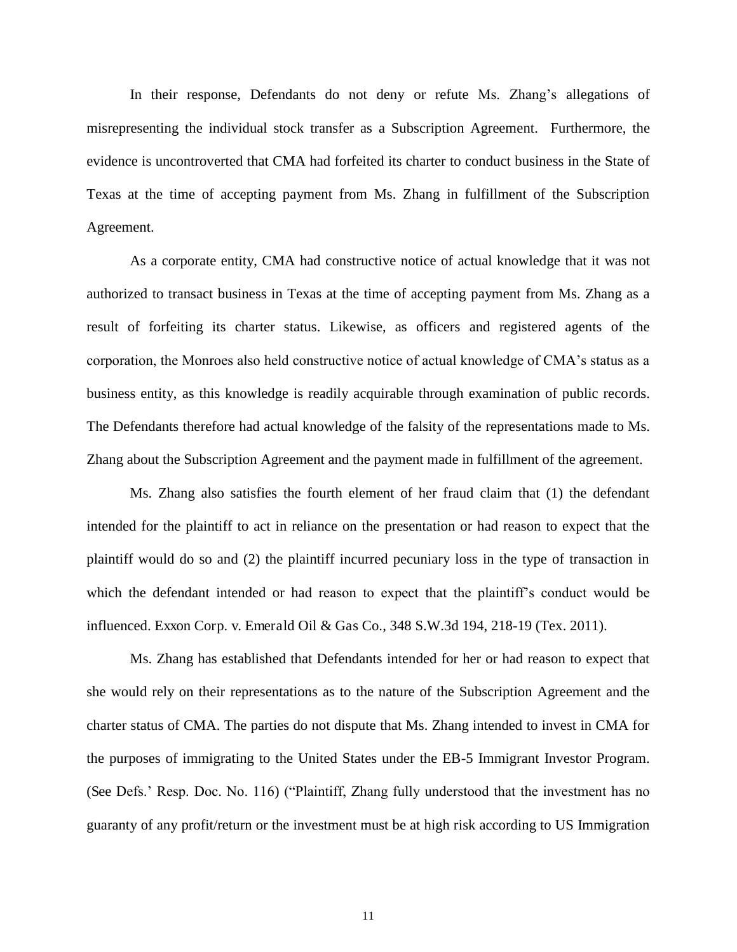In their response, Defendants do not deny or refute Ms. Zhang's allegations of misrepresenting the individual stock transfer as a Subscription Agreement. Furthermore, the evidence is uncontroverted that CMA had forfeited its charter to conduct business in the State of Texas at the time of accepting payment from Ms. Zhang in fulfillment of the Subscription Agreement.

As a corporate entity, CMA had constructive notice of actual knowledge that it was not authorized to transact business in Texas at the time of accepting payment from Ms. Zhang as a result of forfeiting its charter status. Likewise, as officers and registered agents of the corporation, the Monroes also held constructive notice of actual knowledge of CMA's status as a business entity, as this knowledge is readily acquirable through examination of public records. The Defendants therefore had actual knowledge of the falsity of the representations made to Ms. Zhang about the Subscription Agreement and the payment made in fulfillment of the agreement.

Ms. Zhang also satisfies the fourth element of her fraud claim that (1) the defendant intended for the plaintiff to act in reliance on the presentation or had reason to expect that the plaintiff would do so and (2) the plaintiff incurred pecuniary loss in the type of transaction in which the defendant intended or had reason to expect that the plaintiff's conduct would be influenced. Exxon Corp. v. Emerald Oil & Gas Co., 348 S.W.3d 194, 218-19 (Tex. 2011).

Ms. Zhang has established that Defendants intended for her or had reason to expect that she would rely on their representations as to the nature of the Subscription Agreement and the charter status of CMA. The parties do not dispute that Ms. Zhang intended to invest in CMA for the purposes of immigrating to the United States under the EB-5 Immigrant Investor Program. (See Defs.' Resp. Doc. No. 116) ("Plaintiff, Zhang fully understood that the investment has no guaranty of any profit/return or the investment must be at high risk according to US Immigration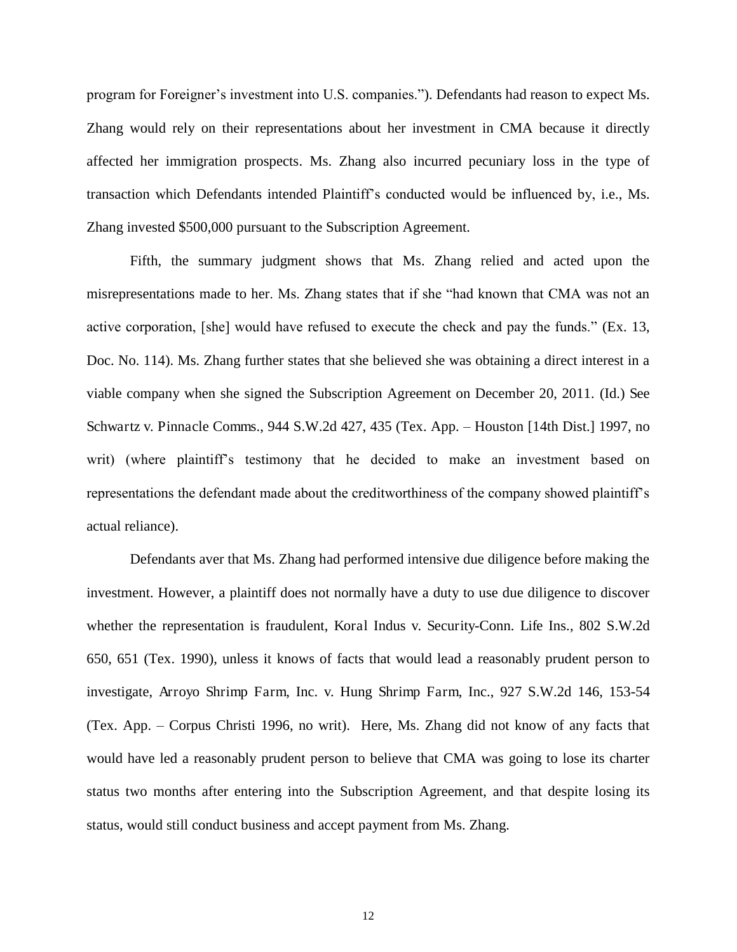program for Foreigner's investment into U.S. companies."). Defendants had reason to expect Ms. Zhang would rely on their representations about her investment in CMA because it directly affected her immigration prospects. Ms. Zhang also incurred pecuniary loss in the type of transaction which Defendants intended Plaintiff's conducted would be influenced by, i.e., Ms. Zhang invested \$500,000 pursuant to the Subscription Agreement.

Fifth, the summary judgment shows that Ms. Zhang relied and acted upon the misrepresentations made to her. Ms. Zhang states that if she "had known that CMA was not an active corporation, [she] would have refused to execute the check and pay the funds." (Ex. 13, Doc. No. 114). Ms. Zhang further states that she believed she was obtaining a direct interest in a viable company when she signed the Subscription Agreement on December 20, 2011. (Id.) See Schwartz v. Pinnacle Comms., 944 S.W.2d 427, 435 (Tex. App. – Houston [14th Dist.] 1997, no writ) (where plaintiff's testimony that he decided to make an investment based on representations the defendant made about the creditworthiness of the company showed plaintiff's actual reliance).

Defendants aver that Ms. Zhang had performed intensive due diligence before making the investment. However, a plaintiff does not normally have a duty to use due diligence to discover whether the representation is fraudulent, Koral Indus v. Security-Conn. Life Ins., 802 S.W.2d 650, 651 (Tex. 1990), unless it knows of facts that would lead a reasonably prudent person to investigate, Arroyo Shrimp Farm, Inc. v. Hung Shrimp Farm, Inc., 927 S.W.2d 146, 153-54 (Tex. App. – Corpus Christi 1996, no writ). Here, Ms. Zhang did not know of any facts that would have led a reasonably prudent person to believe that CMA was going to lose its charter status two months after entering into the Subscription Agreement, and that despite losing its status, would still conduct business and accept payment from Ms. Zhang.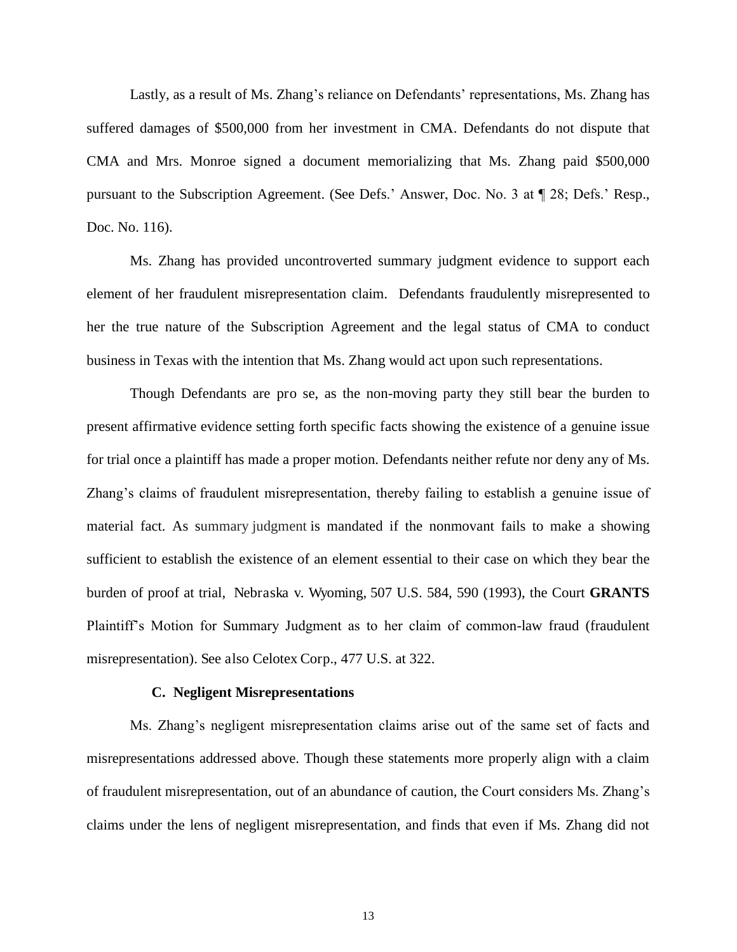Lastly, as a result of Ms. Zhang's reliance on Defendants' representations, Ms. Zhang has suffered damages of \$500,000 from her investment in CMA. Defendants do not dispute that CMA and Mrs. Monroe signed a document memorializing that Ms. Zhang paid \$500,000 pursuant to the Subscription Agreement. (See Defs.' Answer, Doc. No. 3 at ¶ 28; Defs.' Resp., Doc. No. 116).

Ms. Zhang has provided uncontroverted summary judgment evidence to support each element of her fraudulent misrepresentation claim. Defendants fraudulently misrepresented to her the true nature of the Subscription Agreement and the legal status of CMA to conduct business in Texas with the intention that Ms. Zhang would act upon such representations.

Though Defendants are pro se, as the non-moving party they still bear the burden to present affirmative evidence setting forth specific facts showing the existence of a genuine issue for trial once a plaintiff has made a proper motion. Defendants neither refute nor deny any of Ms. Zhang's claims of fraudulent misrepresentation, thereby failing to establish a genuine issue of material fact. As summary judgment is mandated if the nonmovant fails to make a showing sufficient to establish the existence of an element essential to their case on which they bear the burden of proof at trial, [Nebraska v. Wyoming, 507 U.S. 584, 590](https://1.next.westlaw.com/Link/Document/FullText?findType=Y&serNum=1993088138&pubNum=0000708&originatingDoc=I8e4d4cc3950211e2a555d241dae65084&refType=RP&originationContext=document&transitionType=DocumentItem&contextData=(sc.Search)) (1993), the Court **GRANTS**  Plaintiff's Motion for Summary Judgment as to her claim of common-law fraud (fraudulent misrepresentation). See also [Celotex Corp., 477 U.S. at 322.](https://1.next.westlaw.com/Link/Document/FullText?findType=Y&serNum=1986132677&pubNum=780&originatingDoc=I8e4d4cc3950211e2a555d241dae65084&refType=RP&fi=co_pp_sp_780_322&originationContext=document&transitionType=DocumentItem&contextData=(sc.Search)#co_pp_sp_780_322)

#### **C. Negligent Misrepresentations**

Ms. Zhang's negligent misrepresentation claims arise out of the same set of facts and misrepresentations addressed above. Though these statements more properly align with a claim of fraudulent misrepresentation, out of an abundance of caution, the Court considers Ms. Zhang's claims under the lens of negligent misrepresentation, and finds that even if Ms. Zhang did not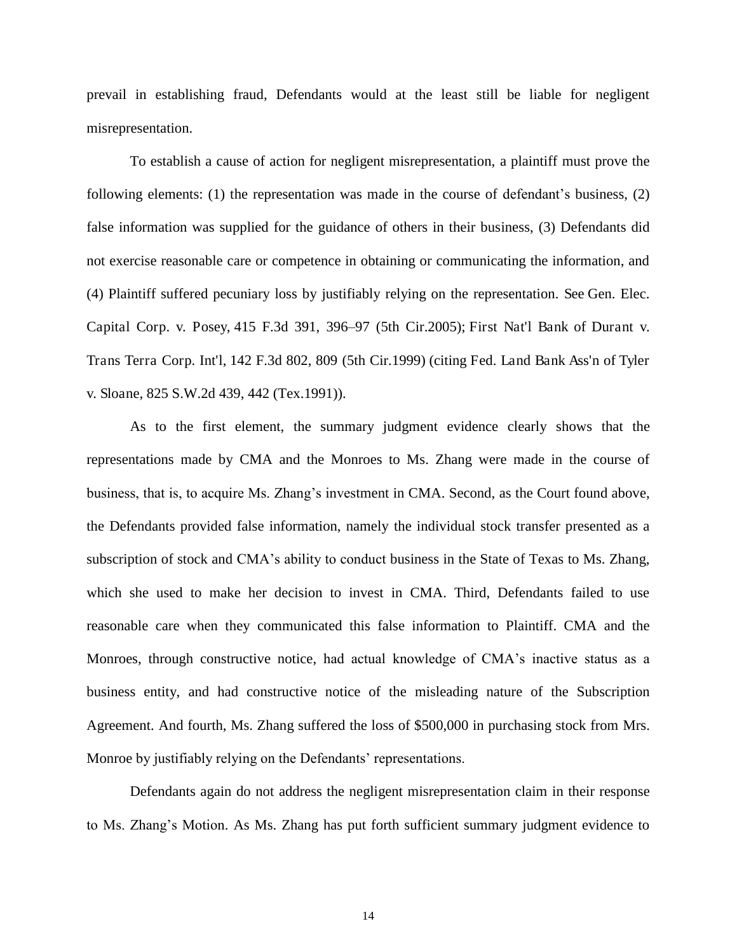prevail in establishing fraud, Defendants would at the least still be liable for negligent misrepresentation.

To establish a cause of action for negligent misrepresentation, a plaintiff must prove the following elements: (1) the representation was made in the course of defendant's business, (2) false information was supplied for the guidance of others in their business, (3) Defendants did not exercise reasonable care or competence in obtaining or communicating the information, and (4) Plaintiff suffered pecuniary loss by justifiably relying on the representation. See [Gen. Elec.](https://1.next.westlaw.com/Link/Document/FullText?findType=Y&serNum=2006876071&pubNum=0000506&originatingDoc=I8e4d4cc3950211e2a555d241dae65084&refType=RP&fi=co_pp_sp_506_396&originationContext=document&transitionType=DocumentItem&contextData=(sc.Search)#co_pp_sp_506_396)  [Capital Corp. v. Posey, 415 F.3d 391, 396](https://1.next.westlaw.com/Link/Document/FullText?findType=Y&serNum=2006876071&pubNum=0000506&originatingDoc=I8e4d4cc3950211e2a555d241dae65084&refType=RP&fi=co_pp_sp_506_396&originationContext=document&transitionType=DocumentItem&contextData=(sc.Search)#co_pp_sp_506_396)–97 (5th Cir.2005); [First Nat'l Bank of Durant v.](https://1.next.westlaw.com/Link/Document/FullText?findType=Y&serNum=1998115717&pubNum=0000506&originatingDoc=I8e4d4cc3950211e2a555d241dae65084&refType=RP&fi=co_pp_sp_506_809&originationContext=document&transitionType=DocumentItem&contextData=(sc.Search)#co_pp_sp_506_809)  [Trans Terra Corp. Int'l, 142 F.3d 802, 809 \(5th Cir.1999\)](https://1.next.westlaw.com/Link/Document/FullText?findType=Y&serNum=1998115717&pubNum=0000506&originatingDoc=I8e4d4cc3950211e2a555d241dae65084&refType=RP&fi=co_pp_sp_506_809&originationContext=document&transitionType=DocumentItem&contextData=(sc.Search)#co_pp_sp_506_809) (citing [Fed. Land Bank Ass'n of Tyler](https://1.next.westlaw.com/Link/Document/FullText?findType=Y&serNum=1991197708&pubNum=0000713&originatingDoc=I8e4d4cc3950211e2a555d241dae65084&refType=RP&fi=co_pp_sp_713_442&originationContext=document&transitionType=DocumentItem&contextData=(sc.Search)#co_pp_sp_713_442)  [v. Sloane, 825 S.W.2d 439, 442 \(Tex.1991\)\)](https://1.next.westlaw.com/Link/Document/FullText?findType=Y&serNum=1991197708&pubNum=0000713&originatingDoc=I8e4d4cc3950211e2a555d241dae65084&refType=RP&fi=co_pp_sp_713_442&originationContext=document&transitionType=DocumentItem&contextData=(sc.Search)#co_pp_sp_713_442).

As to the first element, the summary judgment evidence clearly shows that the representations made by CMA and the Monroes to Ms. Zhang were made in the course of business, that is, to acquire Ms. Zhang's investment in CMA. Second, as the Court found above, the Defendants provided false information, namely the individual stock transfer presented as a subscription of stock and CMA's ability to conduct business in the State of Texas to Ms. Zhang, which she used to make her decision to invest in CMA. Third, Defendants failed to use reasonable care when they communicated this false information to Plaintiff. CMA and the Monroes, through constructive notice, had actual knowledge of CMA's inactive status as a business entity, and had constructive notice of the misleading nature of the Subscription Agreement. And fourth, Ms. Zhang suffered the loss of \$500,000 in purchasing stock from Mrs. Monroe by justifiably relying on the Defendants' representations.

Defendants again do not address the negligent misrepresentation claim in their response to Ms. Zhang's Motion. As Ms. Zhang has put forth sufficient summary judgment evidence to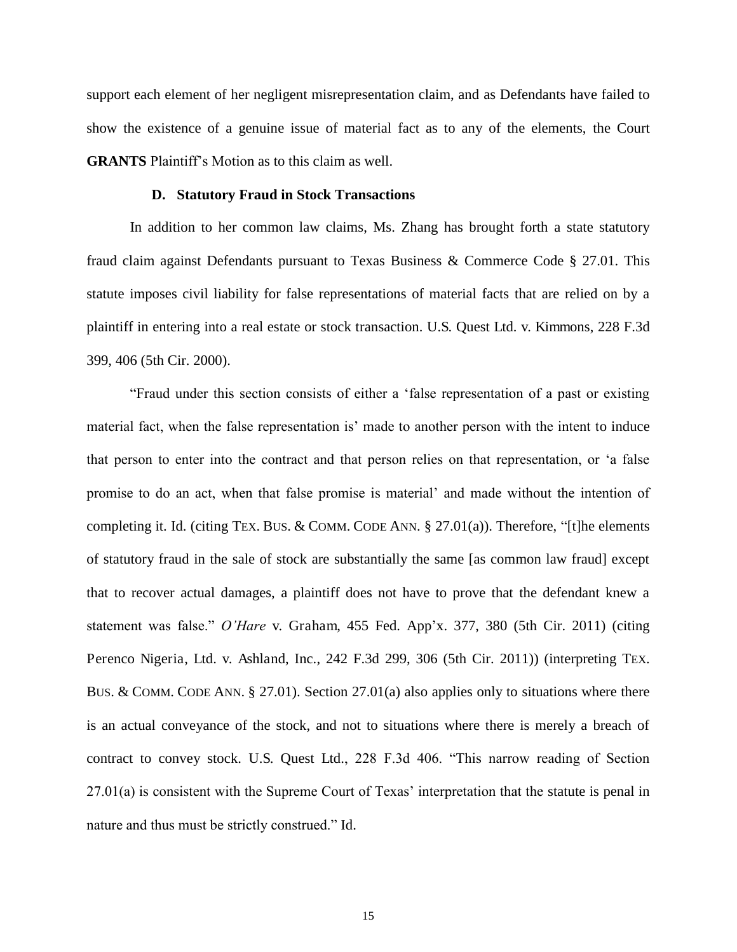support each element of her negligent misrepresentation claim, and as Defendants have failed to show the existence of a genuine issue of material fact as to any of the elements, the Court **GRANTS** Plaintiff's Motion as to this claim as well.

## **D. Statutory Fraud in Stock Transactions**

In addition to her common law claims, Ms. Zhang has brought forth a state statutory fraud claim against Defendants pursuant to Texas Business & Commerce Code § 27.01. This statute imposes civil liability for false representations of material facts that are relied on by a plaintiff in entering into a real estate or stock transaction. U.S. Quest Ltd. v. Kimmons, 228 F.3d 399, 406 (5th Cir. 2000).

"Fraud under this section consists of either a 'false representation of a past or existing material fact, when the false representation is' made to another person with the intent to induce that person to enter into the contract and that person relies on that representation, or 'a false promise to do an act, when that false promise is material' and made without the intention of completing it. Id. (citing TEX. BUS. & COMM. CODE ANN.  $\S 27.01(a)$ ). Therefore, "[t]he elements of statutory fraud in the sale of stock are substantially the same [as common law fraud] except that to recover actual damages, a plaintiff does not have to prove that the defendant knew a statement was false." *O'Hare* v. Graham, 455 Fed. App'x. 377, 380 (5th Cir. 2011) (citing Perenco Nigeria, Ltd. v. Ashland, Inc., 242 F.3d 299, 306 (5th Cir. 2011)) (interpreting TEX. BUS. & COMM. CODE ANN. § 27.01). Section 27.01(a) also applies only to situations where there is an actual conveyance of the stock, and not to situations where there is merely a breach of contract to convey stock. U.S. Quest Ltd., 228 F.3d 406. "This narrow reading of Section 27.01(a) is consistent with the Supreme Court of Texas' interpretation that the statute is penal in nature and thus must be strictly construed." Id.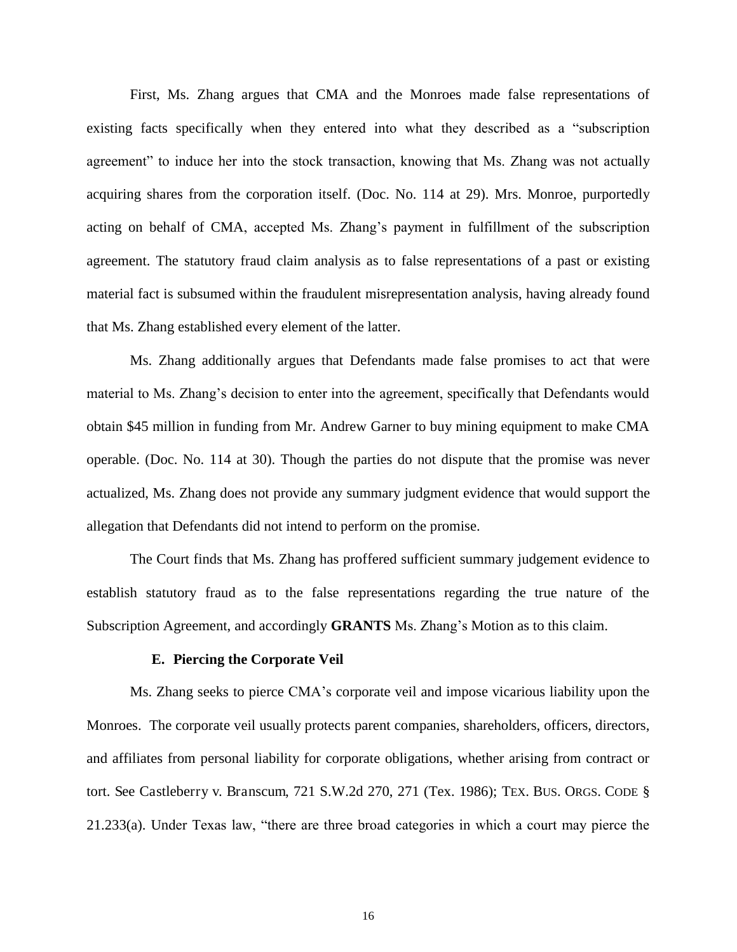First, Ms. Zhang argues that CMA and the Monroes made false representations of existing facts specifically when they entered into what they described as a "subscription agreement" to induce her into the stock transaction, knowing that Ms. Zhang was not actually acquiring shares from the corporation itself. (Doc. No. 114 at 29). Mrs. Monroe, purportedly acting on behalf of CMA, accepted Ms. Zhang's payment in fulfillment of the subscription agreement. The statutory fraud claim analysis as to false representations of a past or existing material fact is subsumed within the fraudulent misrepresentation analysis, having already found that Ms. Zhang established every element of the latter.

Ms. Zhang additionally argues that Defendants made false promises to act that were material to Ms. Zhang's decision to enter into the agreement, specifically that Defendants would obtain \$45 million in funding from Mr. Andrew Garner to buy mining equipment to make CMA operable. (Doc. No. 114 at 30). Though the parties do not dispute that the promise was never actualized, Ms. Zhang does not provide any summary judgment evidence that would support the allegation that Defendants did not intend to perform on the promise.

The Court finds that Ms. Zhang has proffered sufficient summary judgement evidence to establish statutory fraud as to the false representations regarding the true nature of the Subscription Agreement, and accordingly **GRANTS** Ms. Zhang's Motion as to this claim.

### **E. Piercing the Corporate Veil**

Ms. Zhang seeks to pierce CMA's corporate veil and impose vicarious liability upon the Monroes. The corporate veil usually protects parent companies, shareholders, officers, directors, and affiliates from personal liability for corporate obligations, whether arising from contract or tort. See Castleberry v. Branscum, 721 S.W.2d 270, 271 (Tex. 1986); TEX. BUS. ORGS. CODE § 21.233(a). Under Texas law, "there are three broad categories in which a court may pierce the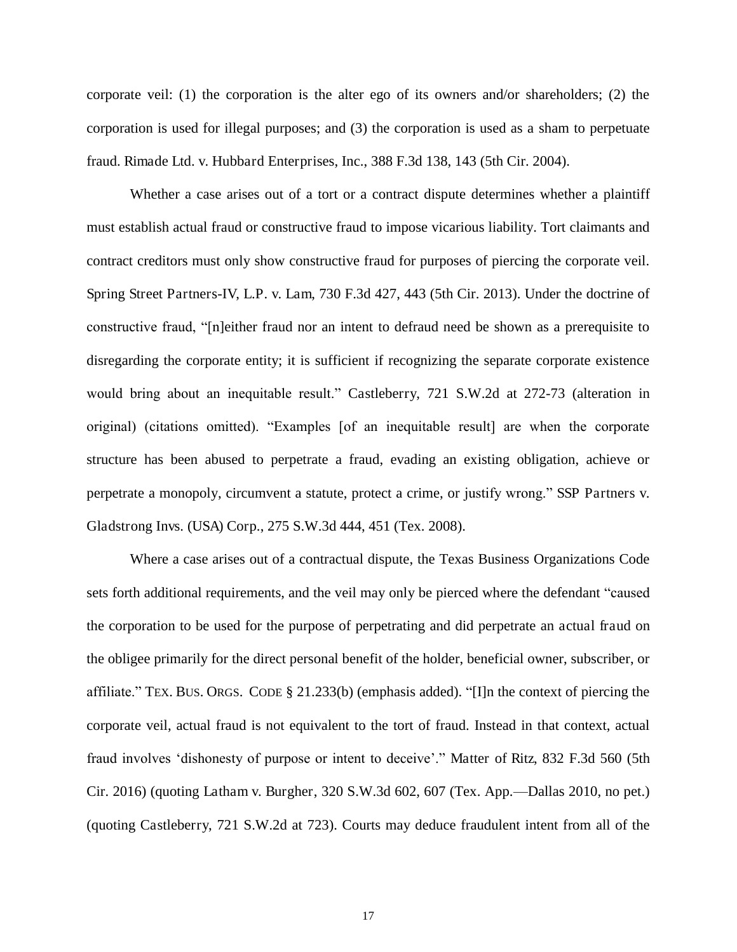corporate veil: (1) the corporation is the alter ego of its owners and/or shareholders; (2) the corporation is used for illegal purposes; and (3) the corporation is used as a sham to perpetuate fraud. Rimade Ltd. v. Hubbard Enterprises, Inc., 388 F.3d 138, 143 (5th Cir. 2004).

Whether a case arises out of a tort or a contract dispute determines whether a plaintiff must establish actual fraud or constructive fraud to impose vicarious liability. Tort claimants and contract creditors must only show constructive fraud for purposes of piercing the corporate veil. Spring Street Partners-IV, L.P. v. Lam, 730 F.3d 427, 443 (5th Cir. 2013). Under the doctrine of constructive fraud, "[n]either fraud nor an intent to defraud need be shown as a prerequisite to disregarding the corporate entity; it is sufficient if recognizing the separate corporate existence would bring about an inequitable result." Castleberry, 721 S.W.2d at 272-73 (alteration in original) (citations omitted). "Examples [of an inequitable result] are when the corporate structure has been abused to perpetrate a fraud, evading an existing obligation, achieve or perpetrate a monopoly, circumvent a statute, protect a crime, or justify wrong." SSP Partners v. Gladstrong Invs. (USA) Corp., 275 S.W.3d 444, 451 (Tex. 2008).

Where a case arises out of a contractual dispute, the Texas Business Organizations Code sets forth additional requirements, and the veil may only be pierced where the defendant "caused the corporation to be used for the purpose of perpetrating and did perpetrate an actual fraud on the obligee primarily for the direct personal benefit of the holder, beneficial owner, subscriber, or affiliate." TEX. BUS. ORGS. CODE § 21.233(b) (emphasis added). "[I]n the context of piercing the corporate veil, actual fraud is not equivalent to the tort of fraud. Instead in that context, actual fraud involves 'dishonesty of purpose or intent to deceive'." Matter of Ritz, 832 F.3d 560 (5th Cir. 2016) (quoting Latham v. Burgher, 320 S.W.3d 602, 607 (Tex. App.—Dallas 2010, no pet.) (quoting Castleberry, 721 S.W.2d at 723). Courts may deduce fraudulent intent from all of the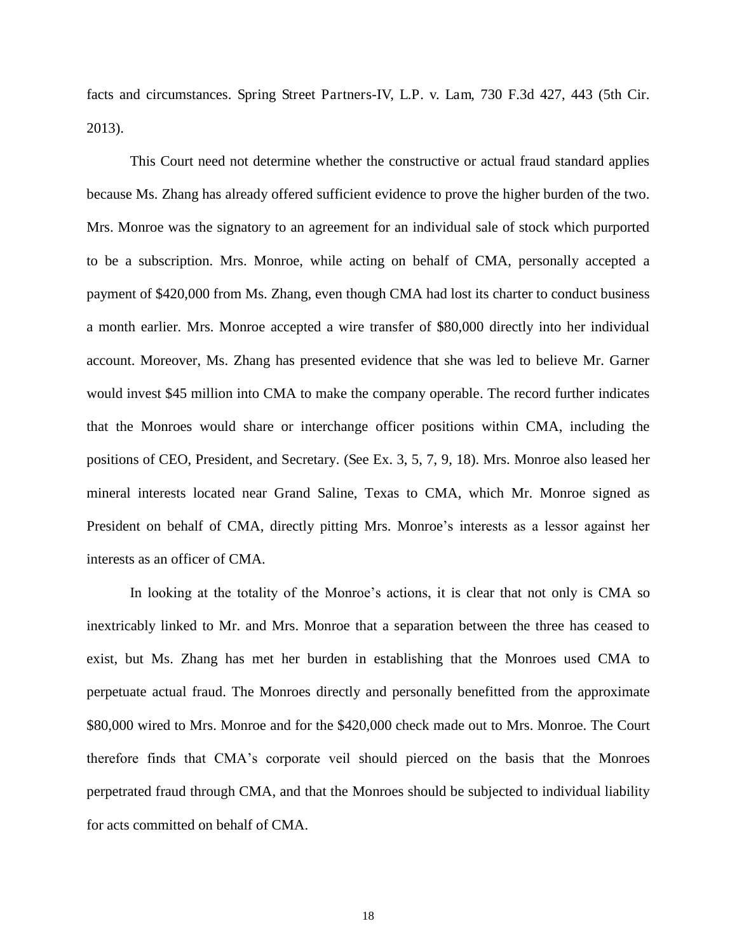facts and circumstances. Spring Street Partners-IV, L.P. v. Lam, 730 F.3d 427, 443 (5th Cir. 2013).

This Court need not determine whether the constructive or actual fraud standard applies because Ms. Zhang has already offered sufficient evidence to prove the higher burden of the two. Mrs. Monroe was the signatory to an agreement for an individual sale of stock which purported to be a subscription. Mrs. Monroe, while acting on behalf of CMA, personally accepted a payment of \$420,000 from Ms. Zhang, even though CMA had lost its charter to conduct business a month earlier. Mrs. Monroe accepted a wire transfer of \$80,000 directly into her individual account. Moreover, Ms. Zhang has presented evidence that she was led to believe Mr. Garner would invest \$45 million into CMA to make the company operable. The record further indicates that the Monroes would share or interchange officer positions within CMA, including the positions of CEO, President, and Secretary. (See Ex. 3, 5, 7, 9, 18). Mrs. Monroe also leased her mineral interests located near Grand Saline, Texas to CMA, which Mr. Monroe signed as President on behalf of CMA, directly pitting Mrs. Monroe's interests as a lessor against her interests as an officer of CMA.

In looking at the totality of the Monroe's actions, it is clear that not only is CMA so inextricably linked to Mr. and Mrs. Monroe that a separation between the three has ceased to exist, but Ms. Zhang has met her burden in establishing that the Monroes used CMA to perpetuate actual fraud. The Monroes directly and personally benefitted from the approximate \$80,000 wired to Mrs. Monroe and for the \$420,000 check made out to Mrs. Monroe. The Court therefore finds that CMA's corporate veil should pierced on the basis that the Monroes perpetrated fraud through CMA, and that the Monroes should be subjected to individual liability for acts committed on behalf of CMA.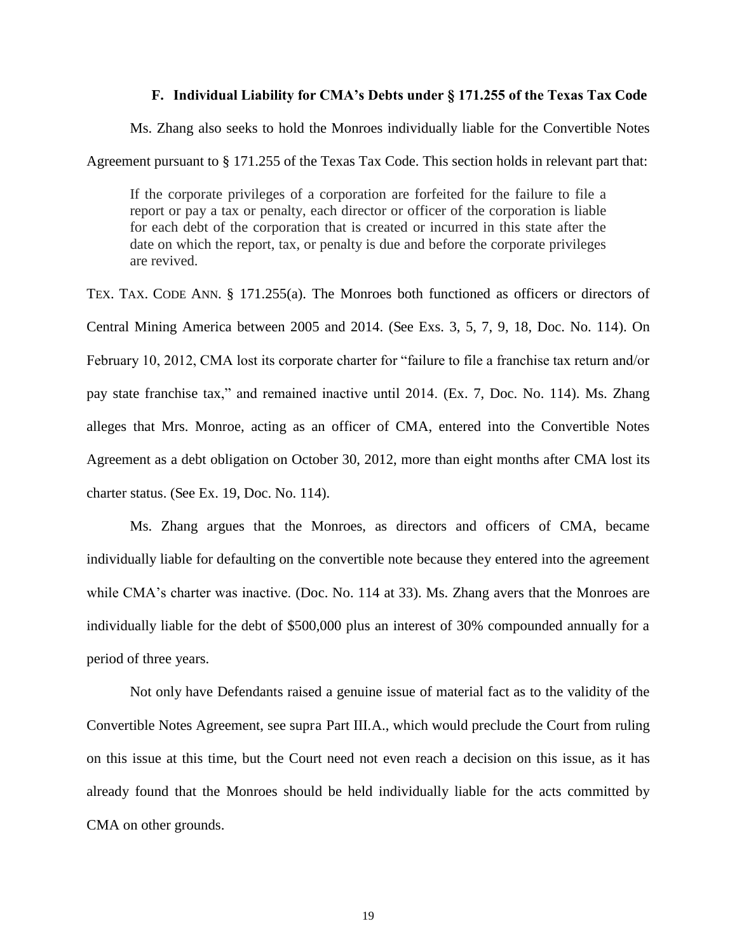## **F. Individual Liability for CMA's Debts under § 171.255 of the Texas Tax Code**

Ms. Zhang also seeks to hold the Monroes individually liable for the Convertible Notes

Agreement pursuant to § 171.255 of the Texas Tax Code. This section holds in relevant part that:

If the corporate privileges of a corporation are forfeited for the failure to file a report or pay a tax or penalty, each director or officer of the corporation is liable for each debt of the corporation that is created or incurred in this state after the date on which the report, tax, or penalty is due and before the corporate privileges are revived.

TEX. TAX. CODE ANN. § 171.255(a). The Monroes both functioned as officers or directors of Central Mining America between 2005 and 2014. (See Exs. 3, 5, 7, 9, 18, Doc. No. 114). On February 10, 2012, CMA lost its corporate charter for "failure to file a franchise tax return and/or pay state franchise tax," and remained inactive until 2014. (Ex. 7, Doc. No. 114). Ms. Zhang alleges that Mrs. Monroe, acting as an officer of CMA, entered into the Convertible Notes Agreement as a debt obligation on October 30, 2012, more than eight months after CMA lost its charter status. (See Ex. 19, Doc. No. 114).

Ms. Zhang argues that the Monroes, as directors and officers of CMA, became individually liable for defaulting on the convertible note because they entered into the agreement while CMA's charter was inactive. (Doc. No. 114 at 33). Ms. Zhang avers that the Monroes are individually liable for the debt of \$500,000 plus an interest of 30% compounded annually for a period of three years.

Not only have Defendants raised a genuine issue of material fact as to the validity of the Convertible Notes Agreement, see supra Part III.A., which would preclude the Court from ruling on this issue at this time, but the Court need not even reach a decision on this issue, as it has already found that the Monroes should be held individually liable for the acts committed by CMA on other grounds.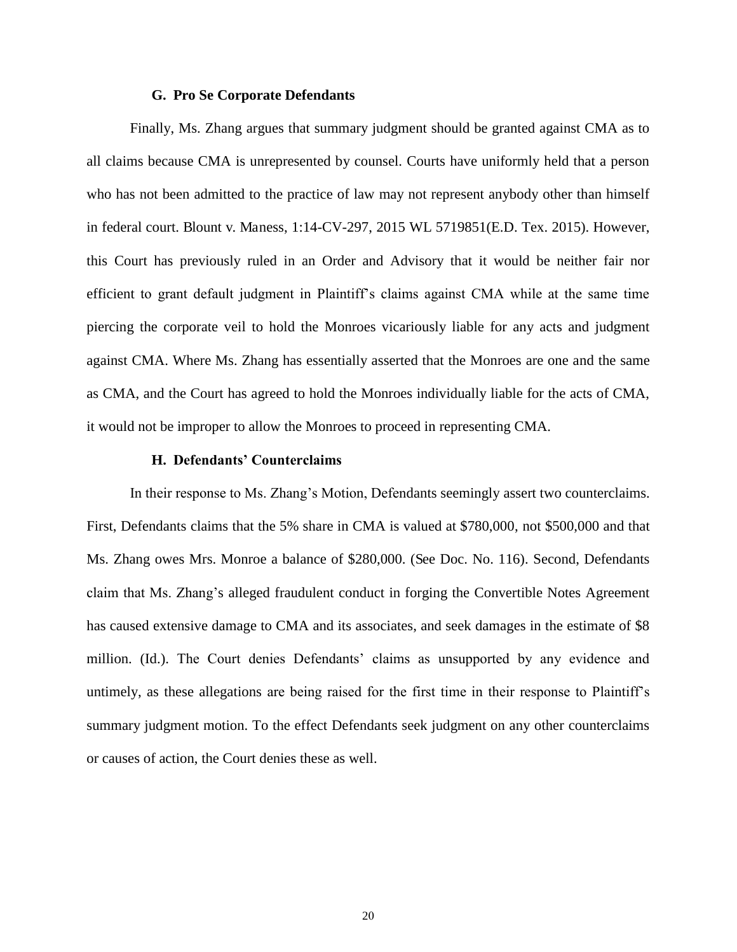### **G. Pro Se Corporate Defendants**

Finally, Ms. Zhang argues that summary judgment should be granted against CMA as to all claims because CMA is unrepresented by counsel. Courts have uniformly held that a person who has not been admitted to the practice of law may not represent anybody other than himself in federal court. Blount v. Maness, 1:14-CV-297, 2015 WL 5719851(E.D. Tex. 2015). However, this Court has previously ruled in an Order and Advisory that it would be neither fair nor efficient to grant default judgment in Plaintiff's claims against CMA while at the same time piercing the corporate veil to hold the Monroes vicariously liable for any acts and judgment against CMA. Where Ms. Zhang has essentially asserted that the Monroes are one and the same as CMA, and the Court has agreed to hold the Monroes individually liable for the acts of CMA, it would not be improper to allow the Monroes to proceed in representing CMA.

#### **H. Defendants' Counterclaims**

In their response to Ms. Zhang's Motion, Defendants seemingly assert two counterclaims. First, Defendants claims that the 5% share in CMA is valued at \$780,000, not \$500,000 and that Ms. Zhang owes Mrs. Monroe a balance of \$280,000. (See Doc. No. 116). Second, Defendants claim that Ms. Zhang's alleged fraudulent conduct in forging the Convertible Notes Agreement has caused extensive damage to CMA and its associates, and seek damages in the estimate of \$8 million. (Id.). The Court denies Defendants' claims as unsupported by any evidence and untimely, as these allegations are being raised for the first time in their response to Plaintiff's summary judgment motion. To the effect Defendants seek judgment on any other counterclaims or causes of action, the Court denies these as well.